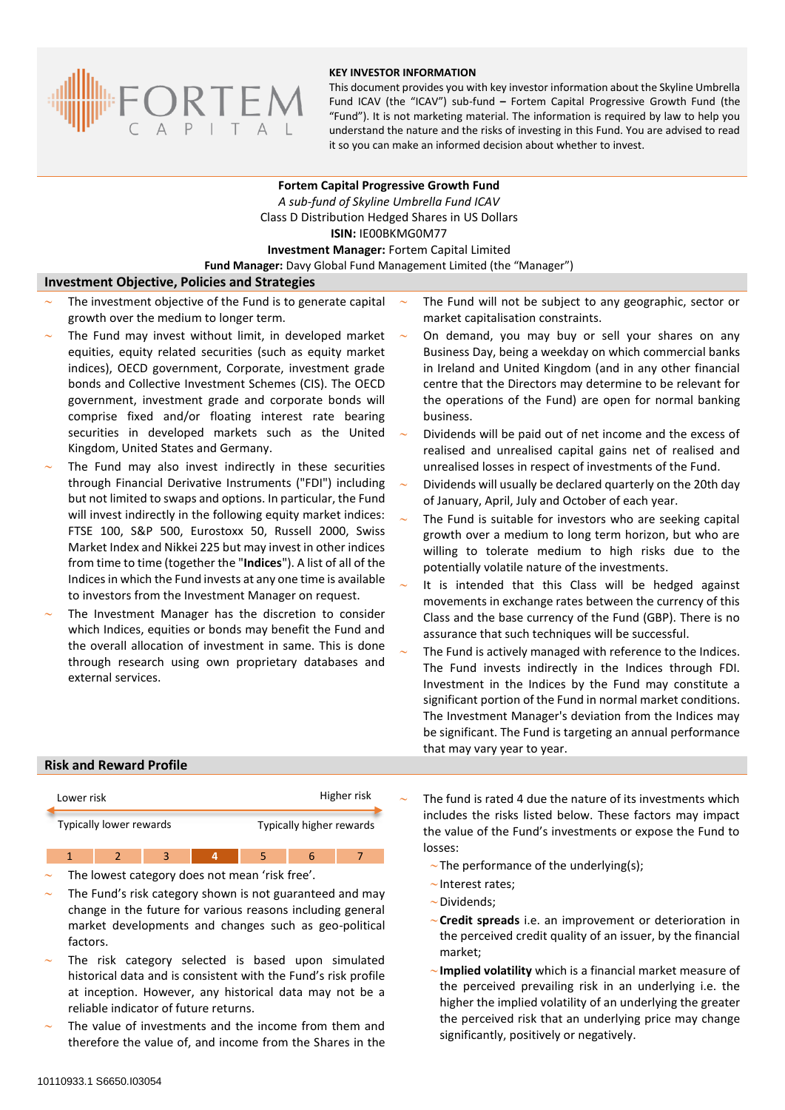

#### **KEY INVESTOR INFORMATION**

This document provides you with key investor information about the Skyline Umbrella Fund ICAV (the "ICAV") sub-fund **–** Fortem Capital Progressive Growth Fund (the "Fund"). It is not marketing material. The information is required by law to help you understand the nature and the risks of investing in this Fund. You are advised to read it so you can make an informed decision about whether to invest.

**Fortem Capital Progressive Growth Fund** *A sub-fund of Skyline Umbrella Fund ICAV* Class D Distribution Hedged Shares in US Dollars **ISIN:** IE00BKMG0M77 **Investment Manager:** Fortem Capital Limited **Fund Manager:** Davy Global Fund Management Limited (the "Manager")

## **Investment Objective, Policies and Strategies**

- The investment objective of the Fund is to generate capital growth over the medium to longer term.
- The Fund may invest without limit, in developed market equities, equity related securities (such as equity market indices), OECD government, Corporate, investment grade bonds and Collective Investment Schemes (CIS). The OECD government, investment grade and corporate bonds will comprise fixed and/or floating interest rate bearing securities in developed markets such as the United Kingdom, United States and Germany.
- The Fund may also invest indirectly in these securities through Financial Derivative Instruments ("FDI") including but not limited to swaps and options. In particular, the Fund will invest indirectly in the following equity market indices: FTSE 100, S&P 500, Eurostoxx 50, Russell 2000, Swiss Market Index and Nikkei 225 but may invest in other indices from time to time (together the "**Indices**"). A list of all of the Indices in which the Fund invests at any one time is available to investors from the Investment Manager on request.
- The Investment Manager has the discretion to consider which Indices, equities or bonds may benefit the Fund and the overall allocation of investment in same. This is done through research using own proprietary databases and external services.
- The Fund will not be subject to any geographic, sector or market capitalisation constraints.
- On demand, you may buy or sell your shares on any Business Day, being a weekday on which commercial banks in Ireland and United Kingdom (and in any other financial centre that the Directors may determine to be relevant for the operations of the Fund) are open for normal banking business.
- Dividends will be paid out of net income and the excess of realised and unrealised capital gains net of realised and unrealised losses in respect of investments of the Fund.
- Dividends will usually be declared quarterly on the 20th day of January, April, July and October of each year.
- The Fund is suitable for investors who are seeking capital growth over a medium to long term horizon, but who are willing to tolerate medium to high risks due to the potentially volatile nature of the investments.
- It is intended that this Class will be hedged against movements in exchange rates between the currency of this Class and the base currency of the Fund (GBP). There is no assurance that such techniques will be successful.
- The Fund is actively managed with reference to the Indices. The Fund invests indirectly in the Indices through FDI. Investment in the Indices by the Fund may constitute a significant portion of the Fund in normal market conditions. The Investment Manager's deviation from the Indices may be significant. The Fund is targeting an annual performance that may vary year to year.

#### **Risk and Reward Profile**

| Lower risk              |  |  |  | Higher risk              |  |  |
|-------------------------|--|--|--|--------------------------|--|--|
| Typically lower rewards |  |  |  | Typically higher rewards |  |  |
|                         |  |  |  |                          |  |  |

- The lowest category does not mean 'risk free'.
- The Fund's risk category shown is not guaranteed and may change in the future for various reasons including general market developments and changes such as geo-political factors.
- The risk category selected is based upon simulated historical data and is consistent with the Fund's risk profile at inception. However, any historical data may not be a reliable indicator of future returns.
- The value of investments and the income from them and therefore the value of, and income from the Shares in the
- The fund is rated 4 due the nature of its investments which includes the risks listed below. These factors may impact the value of the Fund's investments or expose the Fund to losses:
	- $\sim$ The performance of the underlying(s):
	- $\sim$  Interest rates;
	- $\sim$ Dividends;
	- **Credit spreads** i.e. an improvement or deterioration in the perceived credit quality of an issuer, by the financial market;
	- **Implied volatility** which is a financial market measure of the perceived prevailing risk in an underlying i.e. the higher the implied volatility of an underlying the greater the perceived risk that an underlying price may change significantly, positively or negatively.